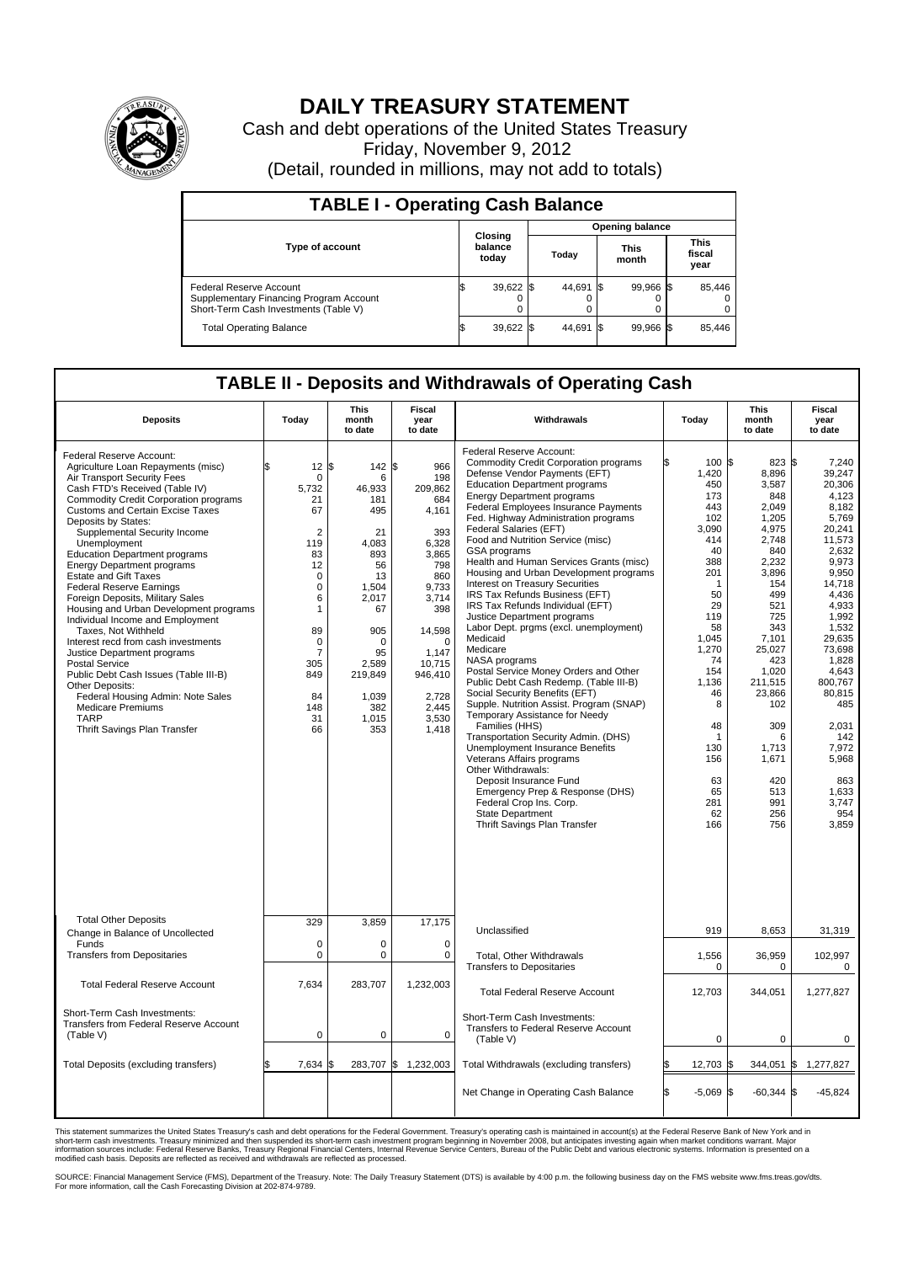

## **DAILY TREASURY STATEMENT**

Cash and debt operations of the United States Treasury Friday, November 9, 2012 (Detail, rounded in millions, may not add to totals)

| <b>TABLE I - Operating Cash Balance</b>                                                                     |                             |                        |                      |                               |  |  |  |  |  |
|-------------------------------------------------------------------------------------------------------------|-----------------------------|------------------------|----------------------|-------------------------------|--|--|--|--|--|
|                                                                                                             |                             | <b>Opening balance</b> |                      |                               |  |  |  |  |  |
| Type of account                                                                                             | Closing<br>balance<br>today | Today                  | <b>This</b><br>month | <b>This</b><br>fiscal<br>year |  |  |  |  |  |
| Federal Reserve Account<br>Supplementary Financing Program Account<br>Short-Term Cash Investments (Table V) | 39,622                      | 44,691                 | 99,966 \$            | 85,446                        |  |  |  |  |  |
| <b>Total Operating Balance</b>                                                                              | 39,622                      | 44.691                 | 99.966 \$            | 85,446                        |  |  |  |  |  |

## **TABLE II - Deposits and Withdrawals of Operating Cash**

| <b>Deposits</b>                                                                                                                                                                                                                                                                                                                                                                                                                                                                                                                                                                                                                                                                                                                                                                                                                                                       | Today                                                                                                                                                                                                           | <b>This</b><br>month<br>to date                                                                                                                                                | Fiscal<br>year<br>to date                                                                                                                                                                           | Withdrawals                                                                                                                                                                                                                                                                                                                                                                                                                                                                                                                                                                                                                                                                                                                                                                                                                                                                                                                                                                                                                                                                                                                                                                               | Today                                                                                                                                                                                                                     | <b>This</b><br>month<br>to date                                                                                                                                                                                                                                 | Fiscal<br>year<br>to date                                                                                                                                                                                                                                                                      |
|-----------------------------------------------------------------------------------------------------------------------------------------------------------------------------------------------------------------------------------------------------------------------------------------------------------------------------------------------------------------------------------------------------------------------------------------------------------------------------------------------------------------------------------------------------------------------------------------------------------------------------------------------------------------------------------------------------------------------------------------------------------------------------------------------------------------------------------------------------------------------|-----------------------------------------------------------------------------------------------------------------------------------------------------------------------------------------------------------------|--------------------------------------------------------------------------------------------------------------------------------------------------------------------------------|-----------------------------------------------------------------------------------------------------------------------------------------------------------------------------------------------------|-------------------------------------------------------------------------------------------------------------------------------------------------------------------------------------------------------------------------------------------------------------------------------------------------------------------------------------------------------------------------------------------------------------------------------------------------------------------------------------------------------------------------------------------------------------------------------------------------------------------------------------------------------------------------------------------------------------------------------------------------------------------------------------------------------------------------------------------------------------------------------------------------------------------------------------------------------------------------------------------------------------------------------------------------------------------------------------------------------------------------------------------------------------------------------------------|---------------------------------------------------------------------------------------------------------------------------------------------------------------------------------------------------------------------------|-----------------------------------------------------------------------------------------------------------------------------------------------------------------------------------------------------------------------------------------------------------------|------------------------------------------------------------------------------------------------------------------------------------------------------------------------------------------------------------------------------------------------------------------------------------------------|
| Federal Reserve Account:<br>Agriculture Loan Repayments (misc)<br>Air Transport Security Fees<br>Cash FTD's Received (Table IV)<br><b>Commodity Credit Corporation programs</b><br><b>Customs and Certain Excise Taxes</b><br>Deposits by States:<br>Supplemental Security Income<br>Unemployment<br><b>Education Department programs</b><br><b>Energy Department programs</b><br><b>Estate and Gift Taxes</b><br><b>Federal Reserve Earnings</b><br>Foreign Deposits, Military Sales<br>Housing and Urban Development programs<br>Individual Income and Employment<br>Taxes, Not Withheld<br>Interest recd from cash investments<br>Justice Department programs<br><b>Postal Service</b><br>Public Debt Cash Issues (Table III-B)<br>Other Deposits:<br>Federal Housing Admin: Note Sales<br><b>Medicare Premiums</b><br><b>TARP</b><br>Thrift Savings Plan Transfer | 12 <sup>2</sup><br>$\mathbf 0$<br>5,732<br>21<br>67<br>$\overline{2}$<br>119<br>83<br>12<br>$\mathbf 0$<br>0<br>6<br>$\mathbf{1}$<br>89<br>$\mathbf 0$<br>$\overline{7}$<br>305<br>849<br>84<br>148<br>31<br>66 | 142<br>l\$<br>6<br>46,933<br>181<br>495<br>21<br>4,083<br>893<br>56<br>13<br>1,504<br>2.017<br>67<br>905<br>$\Omega$<br>95<br>2,589<br>219,849<br>1,039<br>382<br>1,015<br>353 | 966<br>ß.<br>198<br>209,862<br>684<br>4,161<br>393<br>6,328<br>3,865<br>798<br>860<br>9,733<br>3,714<br>398<br>14,598<br>$\Omega$<br>1.147<br>10,715<br>946,410<br>2.728<br>2,445<br>3,530<br>1,418 | Federal Reserve Account:<br><b>Commodity Credit Corporation programs</b><br>Defense Vendor Payments (EFT)<br><b>Education Department programs</b><br><b>Energy Department programs</b><br>Federal Employees Insurance Payments<br>Fed. Highway Administration programs<br>Federal Salaries (EFT)<br>Food and Nutrition Service (misc)<br>GSA programs<br>Health and Human Services Grants (misc)<br>Housing and Urban Development programs<br><b>Interest on Treasury Securities</b><br>IRS Tax Refunds Business (EFT)<br>IRS Tax Refunds Individual (EFT)<br>Justice Department programs<br>Labor Dept. prgms (excl. unemployment)<br>Medicaid<br>Medicare<br>NASA programs<br>Postal Service Money Orders and Other<br>Public Debt Cash Redemp. (Table III-B)<br>Social Security Benefits (EFT)<br>Supple. Nutrition Assist. Program (SNAP)<br>Temporary Assistance for Needy<br>Families (HHS)<br>Transportation Security Admin. (DHS)<br><b>Unemployment Insurance Benefits</b><br>Veterans Affairs programs<br>Other Withdrawals:<br>Deposit Insurance Fund<br>Emergency Prep & Response (DHS)<br>Federal Crop Ins. Corp.<br><b>State Department</b><br>Thrift Savings Plan Transfer | 100 \$<br>1,420<br>450<br>173<br>443<br>102<br>3.090<br>414<br>40<br>388<br>201<br>1<br>50<br>29<br>119<br>58<br>1,045<br>1,270<br>74<br>154<br>1,136<br>46<br>8<br>48<br>1<br>130<br>156<br>63<br>65<br>281<br>62<br>166 | 823 \$<br>8,896<br>3.587<br>848<br>2,049<br>1.205<br>4.975<br>2,748<br>840<br>2.232<br>3,896<br>154<br>499<br>521<br>725<br>343<br>7,101<br>25,027<br>423<br>1,020<br>211,515<br>23,866<br>102<br>309<br>6<br>1,713<br>1,671<br>420<br>513<br>991<br>256<br>756 | 7,240<br>39.247<br>20.306<br>4,123<br>8.182<br>5,769<br>20,241<br>11,573<br>2,632<br>9.973<br>9,950<br>14,718<br>4,436<br>4,933<br>1,992<br>1,532<br>29,635<br>73,698<br>1,828<br>4.643<br>800,767<br>80,815<br>485<br>2,031<br>142<br>7,972<br>5,968<br>863<br>1,633<br>3,747<br>954<br>3,859 |
| <b>Total Other Deposits</b><br>Change in Balance of Uncollected                                                                                                                                                                                                                                                                                                                                                                                                                                                                                                                                                                                                                                                                                                                                                                                                       | 329                                                                                                                                                                                                             | 3,859                                                                                                                                                                          | 17,175                                                                                                                                                                                              | Unclassified                                                                                                                                                                                                                                                                                                                                                                                                                                                                                                                                                                                                                                                                                                                                                                                                                                                                                                                                                                                                                                                                                                                                                                              | 919                                                                                                                                                                                                                       | 8,653                                                                                                                                                                                                                                                           | 31,319                                                                                                                                                                                                                                                                                         |
| Funds<br><b>Transfers from Depositaries</b>                                                                                                                                                                                                                                                                                                                                                                                                                                                                                                                                                                                                                                                                                                                                                                                                                           | $\mathbf 0$<br>0                                                                                                                                                                                                | $\mathbf 0$<br>$\mathbf 0$                                                                                                                                                     | $\mathbf 0$<br>$\mathbf 0$                                                                                                                                                                          | <b>Total. Other Withdrawals</b><br><b>Transfers to Depositaries</b>                                                                                                                                                                                                                                                                                                                                                                                                                                                                                                                                                                                                                                                                                                                                                                                                                                                                                                                                                                                                                                                                                                                       | 1,556<br>0                                                                                                                                                                                                                | 36,959<br>0                                                                                                                                                                                                                                                     | 102,997<br>0                                                                                                                                                                                                                                                                                   |
| <b>Total Federal Reserve Account</b>                                                                                                                                                                                                                                                                                                                                                                                                                                                                                                                                                                                                                                                                                                                                                                                                                                  | 7,634                                                                                                                                                                                                           | 283,707                                                                                                                                                                        | 1,232,003                                                                                                                                                                                           | <b>Total Federal Reserve Account</b>                                                                                                                                                                                                                                                                                                                                                                                                                                                                                                                                                                                                                                                                                                                                                                                                                                                                                                                                                                                                                                                                                                                                                      | 12,703                                                                                                                                                                                                                    | 344,051                                                                                                                                                                                                                                                         | 1,277,827                                                                                                                                                                                                                                                                                      |
| Short-Term Cash Investments:<br>Transfers from Federal Reserve Account<br>(Table V)                                                                                                                                                                                                                                                                                                                                                                                                                                                                                                                                                                                                                                                                                                                                                                                   | $\mathbf 0$                                                                                                                                                                                                     | 0                                                                                                                                                                              | $\Omega$                                                                                                                                                                                            | Short-Term Cash Investments:<br>Transfers to Federal Reserve Account<br>(Table V)                                                                                                                                                                                                                                                                                                                                                                                                                                                                                                                                                                                                                                                                                                                                                                                                                                                                                                                                                                                                                                                                                                         | $\mathbf 0$                                                                                                                                                                                                               | 0                                                                                                                                                                                                                                                               | 0                                                                                                                                                                                                                                                                                              |
| Total Deposits (excluding transfers)                                                                                                                                                                                                                                                                                                                                                                                                                                                                                                                                                                                                                                                                                                                                                                                                                                  | 7,634                                                                                                                                                                                                           | 283,707<br>I\$                                                                                                                                                                 | \$<br>1,232,003                                                                                                                                                                                     | Total Withdrawals (excluding transfers)                                                                                                                                                                                                                                                                                                                                                                                                                                                                                                                                                                                                                                                                                                                                                                                                                                                                                                                                                                                                                                                                                                                                                   | 12,703 \$                                                                                                                                                                                                                 | $344,051$ \$                                                                                                                                                                                                                                                    | 1,277,827                                                                                                                                                                                                                                                                                      |
|                                                                                                                                                                                                                                                                                                                                                                                                                                                                                                                                                                                                                                                                                                                                                                                                                                                                       |                                                                                                                                                                                                                 |                                                                                                                                                                                |                                                                                                                                                                                                     | Net Change in Operating Cash Balance                                                                                                                                                                                                                                                                                                                                                                                                                                                                                                                                                                                                                                                                                                                                                                                                                                                                                                                                                                                                                                                                                                                                                      | l\$<br>$-5,069$ \$                                                                                                                                                                                                        | $-60,344$ \$                                                                                                                                                                                                                                                    | $-45,824$                                                                                                                                                                                                                                                                                      |

This statement summarizes the United States Treasury's cash and debt operations for the Federal Government. Treasury's operating cash is maintained in account(s) at the Federal Reserve Bank of New York and in<br>short-term ca

SOURCE: Financial Management Service (FMS), Department of the Treasury. Note: The Daily Treasury Statement (DTS) is available by 4:00 p.m. the following business day on the FMS website www.fms.treas.gov/dts.<br>For more infor